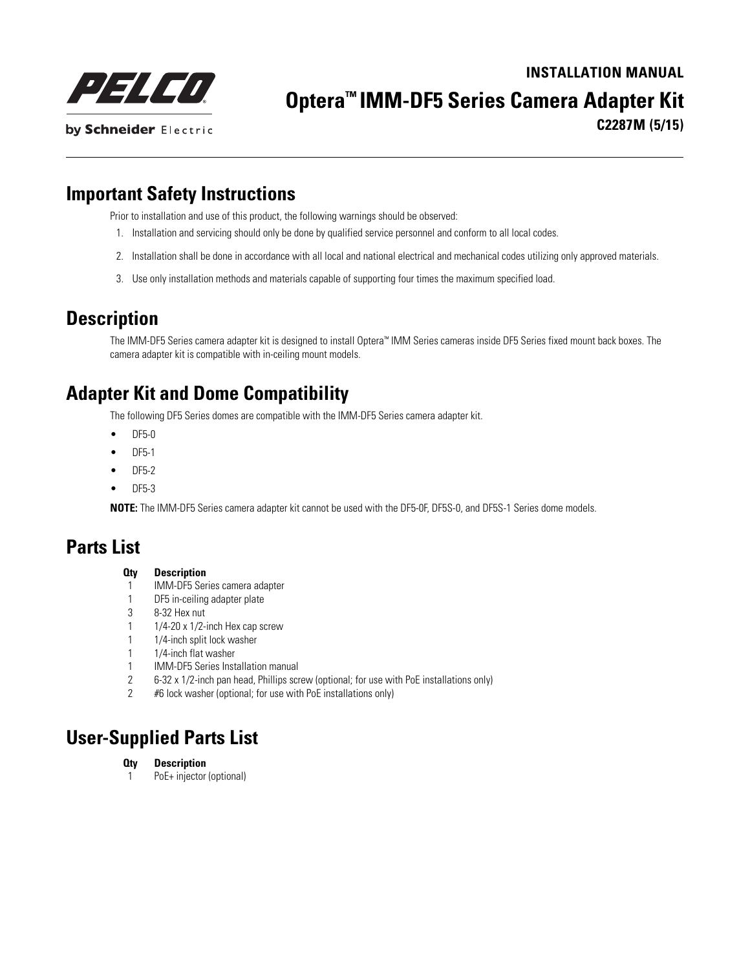125450 by Schneider Electric

# **INSTALLATION MANUAL**

**Optera™ IMM-DF5 Series Camera Adapter Kit**

**C2287M (5/15)**

### **Important Safety Instructions**

Prior to installation and use of this product, the following warnings should be observed:

- 1. Installation and servicing should only be done by qualified service personnel and conform to all local codes.
- 2. Installation shall be done in accordance with all local and national electrical and mechanical codes utilizing only approved materials.
- 3. Use only installation methods and materials capable of supporting four times the maximum specified load.

## **Description**

The IMM-DF5 Series camera adapter kit is designed to install Optera™ IMM Series cameras inside DF5 Series fixed mount back boxes. The camera adapter kit is compatible with in-ceiling mount models.

# **Adapter Kit and Dome Compatibility**

The following DF5 Series domes are compatible with the IMM-DF5 Series camera adapter kit.

- DF5-0
- DF5-1
- DF5-2
- DF5-3

**NOTE:** The IMM-DF5 Series camera adapter kit cannot be used with the DF5-0F, DF5S-0, and DF5S-1 Series dome models.

#### **Parts List**

#### **Qty Description**

- 1 IMM-DF5 Series camera adapter
- 1 DF5 in-ceiling adapter plate
- 3 8-32 Hex nut
- 1  $1/4$ -20 x 1/2-inch Hex cap screw
- 1 1/4-inch split lock washer
- 1 1/4-inch flat washer
- 1 IMM-DF5 Series Installation manual
- 2 6-32 x 1/2-inch pan head, Phillips screw (optional; for use with PoE installations only)
- 2 #6 lock washer (optional; for use with PoE installations only)

#### **User-Supplied Parts List**

#### **Qty Description**

1 PoE+ injector (optional)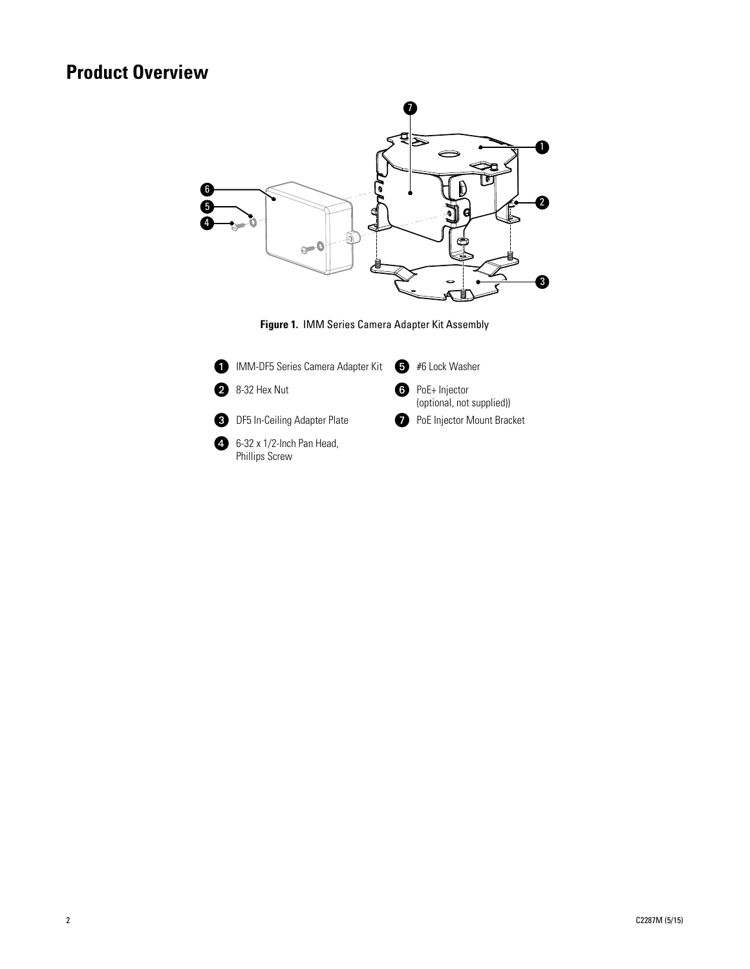# **Product Overview**

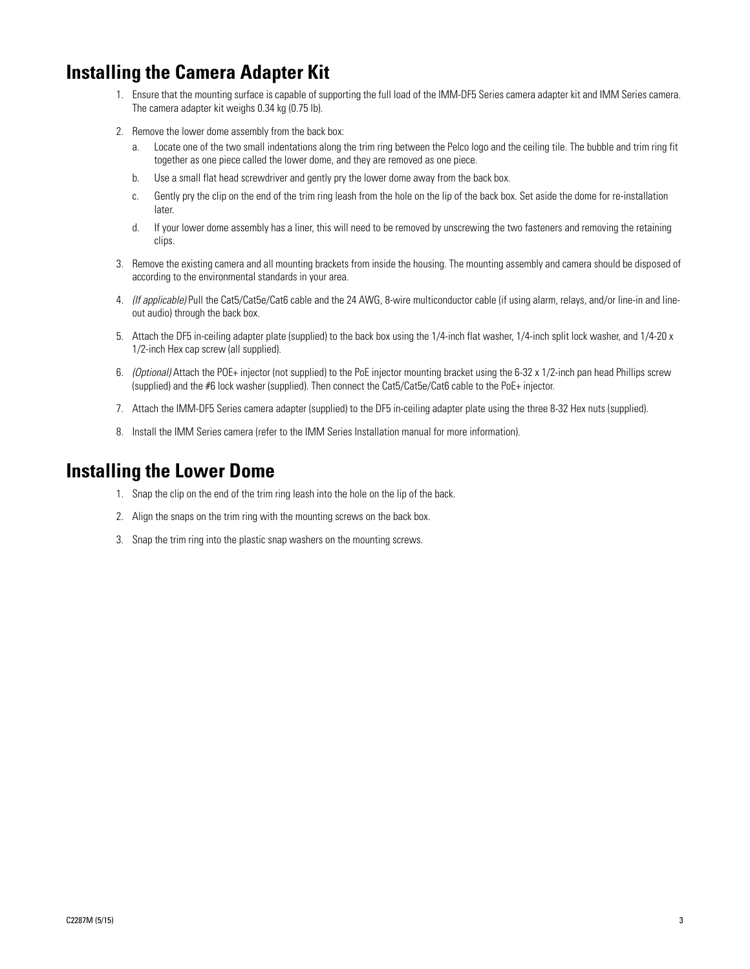### **Installing the Camera Adapter Kit**

- 1. Ensure that the mounting surface is capable of supporting the full load of the IMM-DF5 Series camera adapter kit and IMM Series camera. The camera adapter kit weighs 0.34 kg (0.75 lb).
- 2. Remove the lower dome assembly from the back box:
	- a. Locate one of the two small indentations along the trim ring between the Pelco logo and the ceiling tile. The bubble and trim ring fit together as one piece called the lower dome, and they are removed as one piece.
	- b. Use a small flat head screwdriver and gently pry the lower dome away from the back box.
	- c. Gently pry the clip on the end of the trim ring leash from the hole on the lip of the back box. Set aside the dome for re-installation later.
	- d. If your lower dome assembly has a liner, this will need to be removed by unscrewing the two fasteners and removing the retaining clips.
- 3. Remove the existing camera and all mounting brackets from inside the housing. The mounting assembly and camera should be disposed of according to the environmental standards in your area.
- 4. *(If applicable)* Pull the Cat5/Cat5e/Cat6 cable and the 24 AWG, 8-wire multiconductor cable (if using alarm, relays, and/or line-in and lineout audio) through the back box.
- 5. Attach the DF5 in-ceiling adapter plate (supplied) to the back box using the 1/4-inch flat washer, 1/4-inch split lock washer, and 1/4-20 x 1/2-inch Hex cap screw (all supplied).
- 6. *(Optional)* Attach the POE+ injector (not supplied) to the PoE injector mounting bracket using the 6-32 x 1/2-inch pan head Phillips screw (supplied) and the #6 lock washer (supplied). Then connect the Cat5/Cat5e/Cat6 cable to the PoE+ injector.
- 7. Attach the IMM-DF5 Series camera adapter (supplied) to the DF5 in-ceiling adapter plate using the three 8-32 Hex nuts (supplied).
- 8. Install the IMM Series camera (refer to the IMM Series Installation manual for more information).

#### **Installing the Lower Dome**

- 1. Snap the clip on the end of the trim ring leash into the hole on the lip of the back.
- 2. Align the snaps on the trim ring with the mounting screws on the back box.
- 3. Snap the trim ring into the plastic snap washers on the mounting screws.